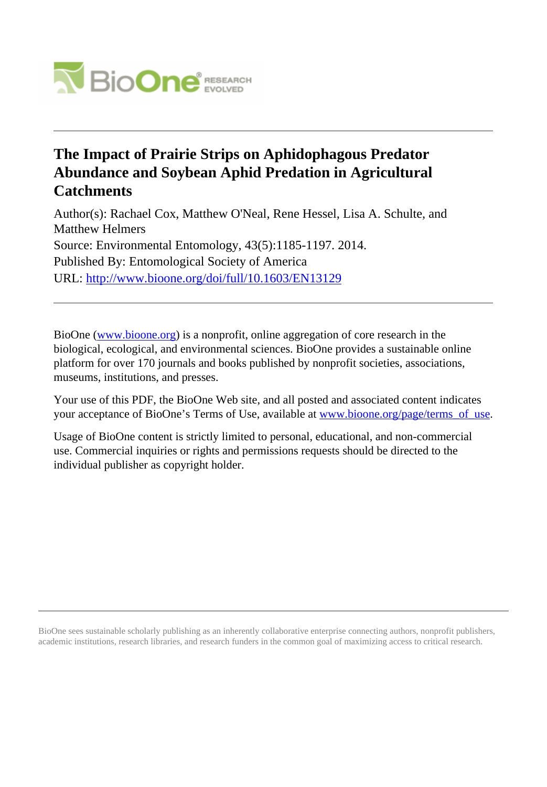

# **The Impact of Prairie Strips on Aphidophagous Predator Abundance and Soybean Aphid Predation in Agricultural Catchments**

Author(s): Rachael Cox, Matthew O'Neal, Rene Hessel, Lisa A. Schulte, and Matthew Helmers Source: Environmental Entomology, 43(5):1185-1197. 2014. Published By: Entomological Society of America URL: <http://www.bioone.org/doi/full/10.1603/EN13129>

BioOne [\(www.bioone.org\)](http://www.bioone.org) is a nonprofit, online aggregation of core research in the biological, ecological, and environmental sciences. BioOne provides a sustainable online platform for over 170 journals and books published by nonprofit societies, associations, museums, institutions, and presses.

Your use of this PDF, the BioOne Web site, and all posted and associated content indicates your acceptance of BioOne's Terms of Use, available at [www.bioone.org/page/terms\\_of\\_use.](http://www.bioone.org/page/terms_of_use)

Usage of BioOne content is strictly limited to personal, educational, and non-commercial use. Commercial inquiries or rights and permissions requests should be directed to the individual publisher as copyright holder.

BioOne sees sustainable scholarly publishing as an inherently collaborative enterprise connecting authors, nonprofit publishers, academic institutions, research libraries, and research funders in the common goal of maximizing access to critical research.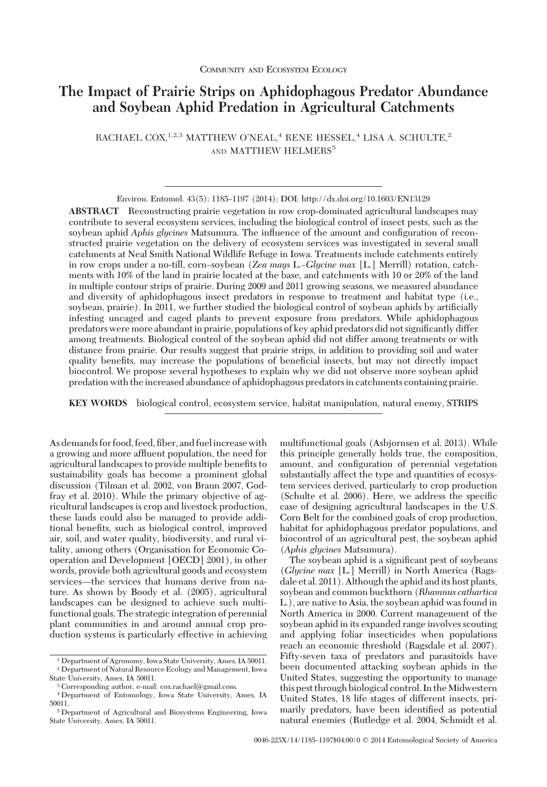## **The Impact of Prairie Strips on Aphidophagous Predator Abundance and Soybean Aphid Predation in Agricultural Catchments**

RACHAEL COX,<sup>1,2,3</sup> MATTHEW O'NEAL,<sup>4</sup> RENE HESSEL,<sup>4</sup> LISA A. SCHULTE,<sup>2</sup> AND MATTHEW HELMERS<sup>5</sup>

**ABSTRACT** Reconstructing prairie vegetation in row crop-dominated agricultural landscapes may contribute to several ecosystem services, including the biological control of insect pests, such as the soybean aphid *Aphis glycines* Matsumura. The influence of the amount and configuration of reconstructed prairie vegetation on the delivery of ecosystem services was investigated in several small catchments at Neal Smith National Wildlife Refuge in Iowa. Treatments include catchments entirely in row crops under a no-till, corn–soybean (*Zea mays* L.–*Glycine max* [L.] Merrill) rotation, catchments with 10% of the land in prairie located at the base, and catchments with 10 or 20% of the land in multiple contour strips of prairie. During 2009 and 2011 growing seasons, we measured abundance and diversity of aphidophagous insect predators in response to treatment and habitat type (i.e., soybean, prairie). In 2011, we further studied the biological control of soybean aphids by artificially infesting uncaged and caged plants to prevent exposure from predators. While aphidophagous predators were more abundant in prairie, populations of key aphid predators did not significantly differ among treatments. Biological control of the soybean aphid did not differ among treatments or with distance from prairie. Our results suggest that prairie strips, in addition to providing soil and water quality benefits, may increase the populations of beneficial insects, but may not directly impact biocontrol. We propose several hypotheses to explain why we did not observe more soybean aphid predation with the increased abundance of aphidophagous predators in catchments containing prairie.

**KEY WORDS** biological control, ecosystem service, habitat manipulation, natural enemy, STRIPS

As demands for food, feed, fiber, and fuel increase with a growing and more affluent population, the need for agricultural landscapes to provide multiple benefits to sustainability goals has become a prominent global discussion (Tilman et al. 2002, von Braun 2007, Godfray et al. 2010). While the primary objective of agricultural landscapes is crop and livestock production, these lands could also be managed to provide additional benefits, such as biological control, improved air, soil, and water quality, biodiversity, and rural vitality, among others (Organisation for Economic Cooperation and Development [OECD] 2001), in other words, provide both agricultural goods and ecosystem services—the services that humans derive from nature. As shown by Boody et al. (2005), agricultural landscapes can be designed to achieve such multifunctional goals. The strategic integration of perennial plant communities in and around annual crop production systems is particularly effective in achieving multifunctional goals (Asbjornsen et al. 2013). While this principle generally holds true, the composition, amount, and configuration of perennial vegetation substantially affect the type and quantities of ecosystem services derived, particularly to crop production  $(Schulte et al. 2006)$ . Here, we address the specific case of designing agricultural landscapes in the U.S. Corn Belt for the combined goals of crop production, habitat for aphidophagous predator populations, and biocontrol of an agricultural pest, the soybean aphid (*Aphis glycines* Matsumura).

The soybean aphid is a significant pest of soybeans (*Glycine max* [L.] Merrill) in North America (Ragsdale et al. 2011). Although the aphid and its host plants, soybean and common buckthorn (*Rhamnus cathartica* L.), are native to Asia, the soybean aphid was found in North America in 2000. Current management of the soybean aphid in its expanded range involves scouting and applying foliar insecticides when populations reach an economic threshold (Ragsdale et al. 2007). Fifty-seven taxa of predators and parasitoids have been documented attacking soybean aphids in the United States, suggesting the opportunity to manage this pest through biological control. In the Midwestern United States, 18 life stages of different insects, primarily predators, have been identified as potential natural enemies (Rutledge et al. 2004, Schmidt et al.

Environ. Entomol. 43(5): 1185-1197 (2014); DOI: http://dx.doi.org/10.1603/EN13129

<sup>1</sup> Department of Agronomy, Iowa State University, Ames, IA 50011. <sup>2</sup> Department of Natural Resource Ecology and Management, Iowa

State University, Ames, IA 50011.

<sup>3</sup> Corresponding author, e-mail: cox.rachael@gmail.com.

<sup>4</sup> Department of Entomology, Iowa State University, Ames, IA 50011.

<sup>5</sup> Department of Agricultural and Biosystems Engineering, Iowa State University, Ames, IA 50011.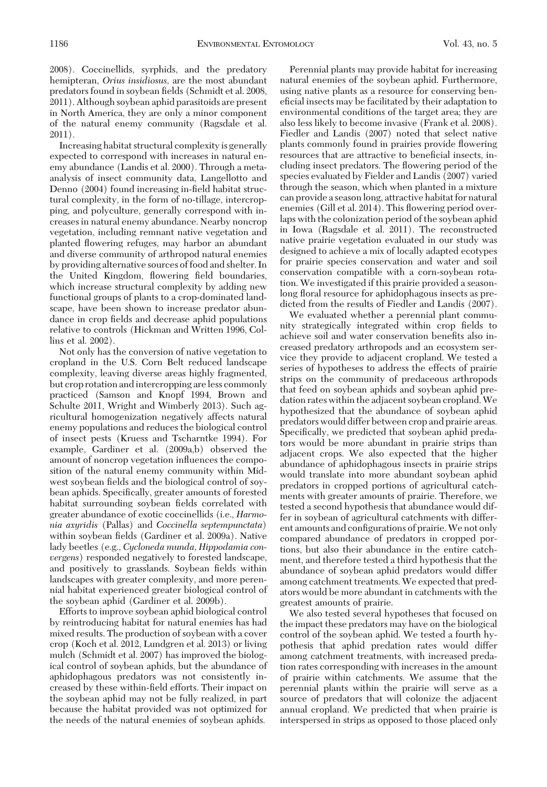2008). Coccinellids, syrphids, and the predatory hemipteran, *Orius insidiosus,* are the most abundant predators found in soybean fields (Schmidt et al. 2008, 2011). Although soybean aphid parasitoids are present in North America, they are only a minor component of the natural enemy community (Ragsdale et al. 2011).

Increasing habitat structural complexity is generally expected to correspond with increases in natural enemy abundance (Landis et al. 2000). Through a metaanalysis of insect community data, Langellotto and Denno (2004) found increasing in-field habitat structural complexity, in the form of no-tillage, intercropping, and polyculture, generally correspond with increases in natural enemy abundance. Nearby noncrop vegetation, including remnant native vegetation and planted ßowering refuges, may harbor an abundant and diverse community of arthropod natural enemies by providing alternative sources of food and shelter. In the United Kingdom, flowering field boundaries, which increase structural complexity by adding new functional groups of plants to a crop-dominated landscape, have been shown to increase predator abundance in crop fields and decrease aphid populations relative to controls (Hickman and Written 1996, Collins et al. 2002).

Not only has the conversion of native vegetation to cropland in the U.S. Corn Belt reduced landscape complexity, leaving diverse areas highly fragmented, but crop rotation andintercropping areless commonly practiced (Samson and Knopf 1994, Brown and Schulte 2011, Wright and Wimberly 2013). Such agricultural homogenization negatively affects natural enemy populations and reduces the biological control of insect pests (Kruess and Tscharntke 1994). For example, Gardiner et al. (2009a,b) observed the amount of noncrop vegetation inßuences the composition of the natural enemy community within Midwest soybean fields and the biological control of soybean aphids. Specifically, greater amounts of forested habitat surrounding soybean fields correlated with greater abundance of exotic coccinellids (i.e., *Harmonia axyridis* (Pallas) and *Coccinella septempunctata*) within soybean fields (Gardiner et al. 2009a). Native lady beetles (e.g., *Cycloneda munda, Hippodamia convergens*) responded negatively to forested landscape, and positively to grasslands. Soybean fields within landscapes with greater complexity, and more perennial habitat experienced greater biological control of the soybean aphid (Gardiner et al. 2009b).

Efforts to improve soybean aphid biological control by reintroducing habitat for natural enemies has had mixed results. The production of soybean with a cover crop (Koch et al. 2012, Lundgren et al. 2013) or living mulch (Schmidt et al. 2007) has improved the biological control of soybean aphids, but the abundance of aphidophagous predators was not consistently increased by these within-field efforts. Their impact on the soybean aphid may not be fully realized, in part because the habitat provided was not optimized for the needs of the natural enemies of soybean aphids.

Perennial plants may provide habitat for increasing natural enemies of the soybean aphid. Furthermore, using native plants as a resource for conserving beneficial insects may be facilitated by their adaptation to environmental conditions of the target area; they are also less likely to become invasive (Frank et al. 2008). Fiedler and Landis (2007) noted that select native plants commonly found in prairies provide ßowering resources that are attractive to beneficial insects, including insect predators. The ßowering period of the species evaluated by Fielder and Landis (2007) varied through the season, which when planted in a mixture can provide a seasonlong, attractive habitat for natural enemies (Gill et al. 2014). This flowering period overlaps with the colonization period of the soybean aphid in Iowa (Ragsdale et al. 2011). The reconstructed native prairie vegetation evaluated in our study was designed to achieve a mix of locally adapted ecotypes for prairie species conservation and water and soil conservation compatible with a corn-soybean rotation. We investigated if this prairie provided a seasonlong floral resource for aphidophagous insects as predicted from the results of Fiedler and Landis (2007).

We evaluated whether a perennial plant community strategically integrated within crop fields to achieve soil and water conservation benefits also increased predatory arthropods and an ecosystem service they provide to adjacent cropland. We tested a series of hypotheses to address the effects of prairie strips on the community of predaceous arthropods that feed on soybean aphids and soybean aphid predation rates within the adjacent soybean cropland.We hypothesized that the abundance of soybean aphid predators would differ between crop and prairie areas. Specifically, we predicted that soybean aphid predators would be more abundant in prairie strips than adjacent crops. We also expected that the higher abundance of aphidophagous insects in prairie strips would translate into more abundant soybean aphid predators in cropped portions of agricultural catchments with greater amounts of prairie. Therefore, we tested a second hypothesis that abundance would differ in soybean of agricultural catchments with different amounts and configurations of prairie. We not only compared abundance of predators in cropped portions, but also their abundance in the entire catchment, and therefore tested a third hypothesis that the abundance of soybean aphid predators would differ among catchment treatments. We expected that predators would be more abundant in catchments with the greatest amounts of prairie.

We also tested several hypotheses that focused on the impact these predators may have on the biological control of the soybean aphid. We tested a fourth hypothesis that aphid predation rates would differ among catchment treatments, with increased predation rates corresponding with increases in the amount of prairie within catchments. We assume that the perennial plants within the prairie will serve as a source of predators that will colonize the adjacent annual cropland. We predicted that when prairie is interspersed in strips as opposed to those placed only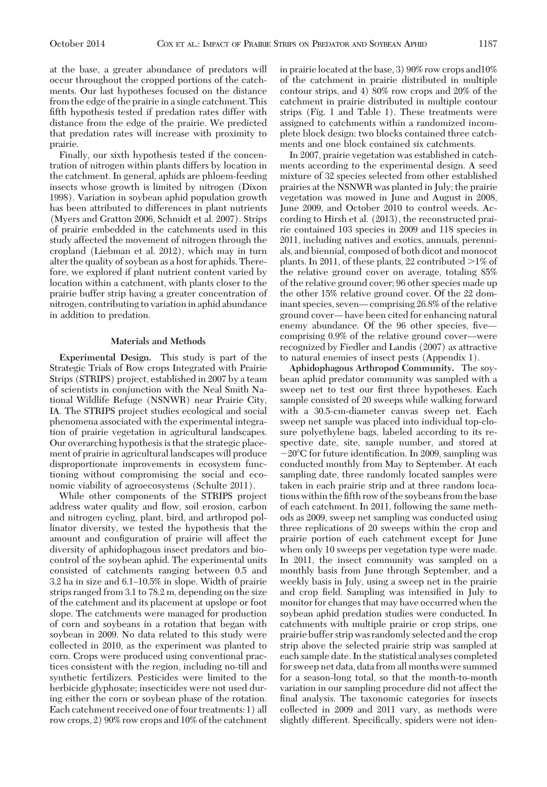at the base, a greater abundance of predators will occur throughout the cropped portions of the catchments. Our last hypotheses focused on the distance from the edge of the prairie in a single catchment. This fifth hypothesis tested if predation rates differ with distance from the edge of the prairie. We predicted that predation rates will increase with proximity to prairie.

Finally, our sixth hypothesis tested if the concentration of nitrogen within plants differs by location in the catchment. In general, aphids are phloem-feeding insects whose growth is limited by nitrogen (Dixon 1998). Variation in soybean aphid population growth has been attributed to differences in plant nutrients (Myers and Gratton 2006, Schmidt et al. 2007). Strips of prairie embedded in the catchments used in this study affected the movement of nitrogen through the cropland (Liebman et al. 2012), which may in turn alter the quality of soybean as a host for aphids. Therefore, we explored if plant nutrient content varied by location within a catchment, with plants closer to the prairie buffer strip having a greater concentration of nitrogen, contributing to variation in aphid abundance in addition to predation.

#### **Materials and Methods**

**Experimental Design.** This study is part of the Strategic Trials of Row crops Integrated with Prairie Strips (STRIPS) project, established in 2007 by a team of scientists in conjunction with the Neal Smith National Wildlife Refuge (NSNWR) near Prairie City, IA. The STRIPS project studies ecological and social phenomena associated with the experimental integration of prairie vegetation in agricultural landscapes. Our overarching hypothesis is that the strategic placement of prairie in agricultural landscapes will produce disproportionate improvements in ecosystem functioning without compromising the social and economic viability of agroecosystems (Schulte 2011).

While other components of the STRIPS project address water quality and ßow, soil erosion, carbon and nitrogen cycling, plant, bird, and arthropod pollinator diversity, we tested the hypothesis that the amount and configuration of prairie will affect the diversity of aphidophagous insect predators and biocontrol of the soybean aphid. The experimental units consisted of catchments ranging between 0.5 and  $3.2$  ha in size and  $6.1-10.5\%$  in slope. Width of prairie strips ranged from 3.1 to 78.2 m, depending on the size of the catchment and its placement at upslope or foot slope. The catchments were managed for production of corn and soybeans in a rotation that began with soybean in 2009. No data related to this study were collected in 2010, as the experiment was planted to corn. Crops were produced using conventional practices consistent with the region, including no-till and synthetic fertilizers. Pesticides were limited to the herbicide glyphosate; insecticides were not used during either the corn or soybean phase of the rotation. Each catchment received one of four treatments: 1) all row crops, 2) 90% row crops and 10% of the catchment in prairie located at the base, 3) 90% row crops and10% of the catchment in prairie distributed in multiple contour strips, and 4) 80% row crops and 20% of the catchment in prairie distributed in multiple contour strips (Fig. 1 and Table 1). These treatments were assigned to catchments within a randomized incomplete block design: two blocks contained three catchments and one block contained six catchments.

In 2007, prairie vegetation was established in catchments according to the experimental design. A seed mixture of 32 species selected from other established prairies at the NSNWR was planted in July; the prairie vegetation was mowed in June and August in 2008, June 2009, and October 2010 to control weeds. According to Hirsh et al. (2013), the reconstructed prairie contained 103 species in 2009 and 118 species in 2011, including natives and exotics, annuals, perennials, and biennial, composed of both dicot and monocot plants. In 2011, of these plants, 22 contributed  $>\!1\%$  of the relative ground cover on average, totaling 85% of the relative ground cover; 96 other species made up the other 15% relative ground cover. Of the 22 dominant species, seven—comprising 26.8% of the relative ground cover—have been cited for enhancing natural enemy abundance. Of the 96 other species, fivecomprising 0.9% of the relative ground cover—were recognized by Fiedler and Landis (2007) as attractive to natural enemies of insect pests (Appendix 1).

**Aphidophagous Arthropod Community.** The soybean aphid predator community was sampled with a sweep net to test our first three hypotheses. Each sample consisted of 20 sweeps while walking forward with a 30.5-cm-diameter canvas sweep net. Each sweep net sample was placed into individual top-closure polyethylene bags, labeled according to its respective date, site, sample number, and stored at  $-20^{\circ}$ C for future identification. In 2009, sampling was conducted monthly from May to September. At each sampling date, three randomly located samples were taken in each prairie strip and at three random locations within the fifth row of the soybeans from the base of each catchment. In 2011, following the same methods as 2009, sweep net sampling was conducted using three replications of 20 sweeps within the crop and prairie portion of each catchment except for June when only 10 sweeps per vegetation type were made. In 2011, the insect community was sampled on a monthly basis from June through September, and a weekly basis in July, using a sweep net in the prairie and crop field. Sampling was intensified in July to monitor for changes that may have occurred when the soybean aphid predation studies were conducted. In catchments with multiple prairie or crop strips, one prairie buffer strip was randomly selected and the crop strip above the selected prairie strip was sampled at each sample date. In the statistical analyses completed for sweep net data, data from all months were summed for a season-long total, so that the month-to-month variation in our sampling procedure did not affect the final analysis. The taxonomic categories for insects collected in 2009 and 2011 vary, as methods were slightly different. Specifically, spiders were not iden-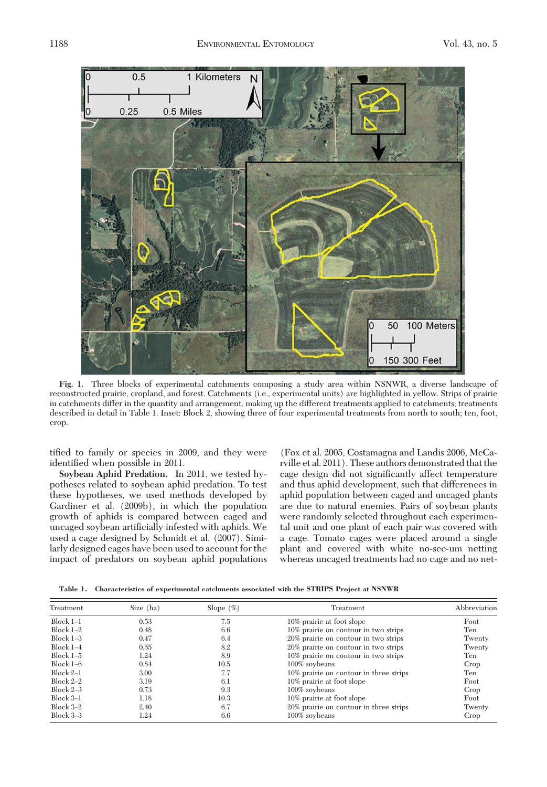

**Fig. 1.** Three blocks of experimental catchments composing a study area within NSNWR, a diverse landscape of reconstructed prairie, cropland, and forest. Catchments (i.e., experimental units) are highlighted in yellow. Strips of prairie in catchments differ in the quantity and arrangement, making up the different treatments applied to catchments; treatments described in detail in Table 1. Inset: Block 2, showing three of four experimental treatments from north to south; ten, foot, crop.

tified to family or species in 2009, and they were identified when possible in 2011.

**Soybean Aphid Predation.** In 2011, we tested hypotheses related to soybean aphid predation. To test these hypotheses, we used methods developed by Gardiner et al. (2009b), in which the population growth of aphids is compared between caged and uncaged soybean artificially infested with aphids. We used a cage designed by Schmidt et al. (2007). Similarly designed cages have been used to account for the impact of predators on soybean aphid populations

(Fox et al. 2005, Costamagna and Landis 2006, McCarville et al. 2011). These authors demonstrated that the cage design did not significantly affect temperature and thus aphid development, such that differences in aphid population between caged and uncaged plants are due to natural enemies. Pairs of soybean plants were randomly selected throughout each experimental unit and one plant of each pair was covered with a cage. Tomato cages were placed around a single plant and covered with white no-see-um netting whereas uncaged treatments had no cage and no net-

**Table 1. Characteristics of experimental catchments associated with the STRIPS Project at NSNWR**

| Size (ha)<br>Treatment |      | Slope $(\%)$ | Treatment                              | Abbreviation |  |
|------------------------|------|--------------|----------------------------------------|--------------|--|
| $Block 1-1$            | 0.53 | 7.5          | 10% prairie at foot slope              | Foot         |  |
| Block $1-2$            | 0.48 | 6.6          | 10% prairie on contour in two strips   | Ten          |  |
| Block $1-3$            | 0.47 | 6.4          | 20% prairie on contour in two strips   | Twenty       |  |
| $Block 1-4$            | 0.55 | 8.2          | 20% prairie on contour in two strips   | Twenty       |  |
| Block $1-5$            | 1.24 | 8.9          | 10% prairie on contour in two strips   | Ten          |  |
| Block $1-6$            | 0.84 | 10.5         | 100% soybeans                          | Crop         |  |
| $Block 2-1$            | 3.00 | 7.7          | 10% prairie on contour in three strips | Ten          |  |
| Block $2-2$            | 3.19 | 6.1          | 10% prairie at foot slope              | Foot         |  |
| Block $2-3$            | 0.73 | 9.3          | 100% soybeans                          | Crop         |  |
| $Block 3-1$            | 1.18 | 10.3         | 10% prairie at foot slope              | Foot         |  |
| Block 3-2              | 2.40 | 6.7          | 20% prairie on contour in three strips | Twenty       |  |
| Block $3-3$            | 1.24 | 6.6          | 100% soybeans                          | Crop         |  |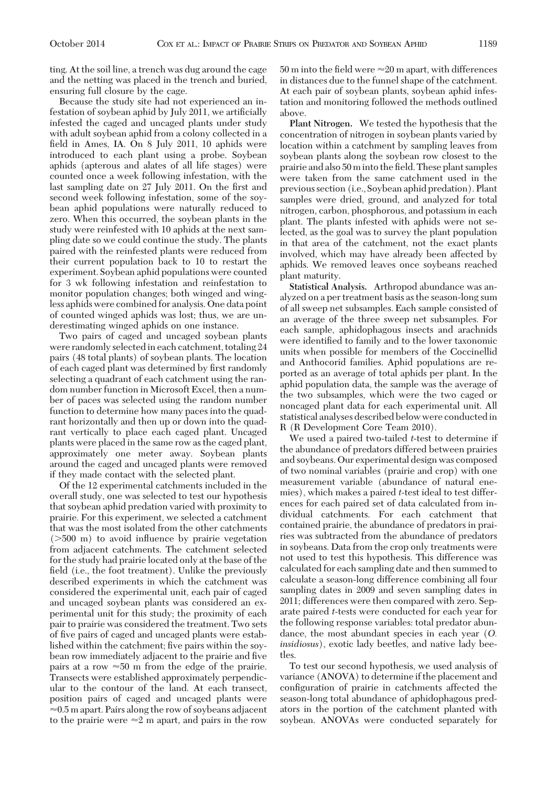ting. At the soil line, a trench was dug around the cage and the netting was placed in the trench and buried, ensuring full closure by the cage.

Because the study site had not experienced an infestation of soybean aphid by July 2011, we artificially infested the caged and uncaged plants under study with adult soybean aphid from a colony collected in a field in Ames, IA. On 8 July 2011, 10 aphids were introduced to each plant using a probe. Soybean aphids (apterous and alates of all life stages) were counted once a week following infestation, with the last sampling date on 27 July 2011. On the first and second week following infestation, some of the soybean aphid populations were naturally reduced to zero. When this occurred, the soybean plants in the study were reinfested with 10 aphids at the next sampling date so we could continue the study. The plants paired with the reinfested plants were reduced from their current population back to 10 to restart the experiment. Soybean aphid populations were counted for 3 wk following infestation and reinfestation to monitor population changes; both winged and wingless aphids were combined for analysis. One data point of counted winged aphids was lost; thus, we are underestimating winged aphids on one instance.

Two pairs of caged and uncaged soybean plants were randomly selected in each catchment, totaling 24 pairs (48 total plants) of soybean plants. The location of each caged plant was determined by first randomly selecting a quadrant of each catchment using the random number function in Microsoft Excel, then a number of paces was selected using the random number function to determine how many paces into the quadrant horizontally and then up or down into the quadrant vertically to place each caged plant. Uncaged plants were placed in the same row as the caged plant, approximately one meter away. Soybean plants around the caged and uncaged plants were removed if they made contact with the selected plant.

Of the 12 experimental catchments included in the overall study, one was selected to test our hypothesis that soybean aphid predation varied with proximity to prairie. For this experiment, we selected a catchment that was the most isolated from the other catchments ( $>500$  m) to avoid influence by prairie vegetation from adjacent catchments. The catchment selected for the study had prairie located only at the base of the field (i.e., the foot treatment). Unlike the previously described experiments in which the catchment was considered the experimental unit, each pair of caged and uncaged soybean plants was considered an experimental unit for this study; the proximity of each pair to prairie was considered the treatment. Two sets of five pairs of caged and uncaged plants were established within the catchment; five pairs within the soybean row immediately adjacent to the prairie and five pairs at a row  $\approx 50$  m from the edge of the prairie. Transects were established approximately perpendicular to the contour of the land. At each transect, position pairs of caged and uncaged plants were  $\approx 0.5$  m apart. Pairs along the row of soybeans adjacent to the prairie were  $\approx 2$  m apart, and pairs in the row 50 m into the field were  $\approx$  20 m apart, with differences in distances due to the funnel shape of the catchment. At each pair of soybean plants, soybean aphid infestation and monitoring followed the methods outlined above.

**Plant Nitrogen.** We tested the hypothesis that the concentration of nitrogen in soybean plants varied by location within a catchment by sampling leaves from soybean plants along the soybean row closest to the prairie and also 50 m into the field. These plant samples were taken from the same catchment used in the previous section (i.e., Soybean aphid predation). Plant samples were dried, ground, and analyzed for total nitrogen, carbon, phosphorous, and potassium in each plant. The plants infested with aphids were not selected, as the goal was to survey the plant population in that area of the catchment, not the exact plants involved, which may have already been affected by aphids. We removed leaves once soybeans reached plant maturity.

**Statistical Analysis.** Arthropod abundance was analyzed on a per treatment basis as the season-long sum of all sweep net subsamples. Each sample consisted of an average of the three sweep net subsamples. For each sample, aphidophagous insects and arachnids were identified to family and to the lower taxonomic units when possible for members of the Coccinellid and Anthocorid families. Aphid populations are reported as an average of total aphids per plant. In the aphid population data, the sample was the average of the two subsamples, which were the two caged or noncaged plant data for each experimental unit. All statistical analyses described below were conductedin R (R Development Core Team 2010).

We used a paired two-tailed *t*-test to determine if the abundance of predators differed between prairies and soybeans. Our experimental design was composed of two nominal variables (prairie and crop) with one measurement variable (abundance of natural enemies), which makes a paired *t*-test ideal to test differences for each paired set of data calculated from individual catchments. For each catchment that contained prairie, the abundance of predators in prairies was subtracted from the abundance of predators in soybeans. Data from the crop only treatments were not used to test this hypothesis. This difference was calculated for each sampling date and then summed to calculate a season-long difference combining all four sampling dates in 2009 and seven sampling dates in 2011; differences were then compared with zero. Separate paired *t*-tests were conducted for each year for the following response variables: total predator abundance, the most abundant species in each year (*O. insidiosus*), exotic lady beetles, and native lady beetles.

To test our second hypothesis, we used analysis of variance (ANOVA) to determine if the placement and configuration of prairie in catchments affected the season-long total abundance of aphidophagous predators in the portion of the catchment planted with soybean. ANOVAs were conducted separately for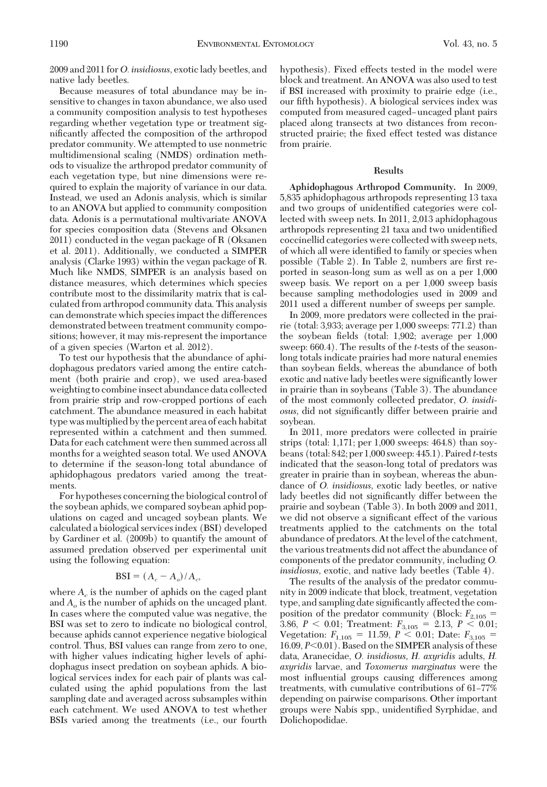2009 and 2011 for*O. insidiosus,* exotic lady beetles, and native lady beetles.

Because measures of total abundance may be insensitive to changes in taxon abundance, we also used a community composition analysis to test hypotheses regarding whether vegetation type or treatment significantly affected the composition of the arthropod predator community. We attempted to use nonmetric multidimensional scaling (NMDS) ordination methods to visualize the arthropod predator community of each vegetation type, but nine dimensions were required to explain the majority of variance in our data. Instead, we used an Adonis analysis, which is similar to an ANOVA but applied to community composition data. Adonis is a permutational multivariate ANOVA for species composition data (Stevens and Oksanen 2011) conducted in the vegan package of R (Oksanen et al. 2011). Additionally, we conducted a SIMPER analysis (Clarke 1993) within the vegan package of R. Much like NMDS, SIMPER is an analysis based on distance measures, which determines which species contribute most to the dissimilarity matrix that is calculated from arthropod community data. This analysis can demonstrate which species impact the differences demonstrated between treatment community compositions; however, it may mis-represent the importance of a given species (Warton et al. 2012).

To test our hypothesis that the abundance of aphidophagous predators varied among the entire catchment (both prairie and crop), we used area-based weighting to combine insect abundance data collected from prairie strip and row-cropped portions of each catchment. The abundance measured in each habitat type was multiplied by the percent area of each habitat represented within a catchment and then summed. Data for each catchment were then summed across all months for a weighted season total. We used ANOVA to determine if the season-long total abundance of aphidophagous predators varied among the treatments.

For hypotheses concerning the biological control of the soybean aphids, we compared soybean aphid populations on caged and uncaged soybean plants. We calculated a biological services index (BSI) developed by Gardiner et al. (2009b) to quantify the amount of assumed predation observed per experimental unit using the following equation:

### $\text{BSI} = (A_c - A_o)/A_c$

where  $A_c$  is the number of aphids on the caged plant and *Ao* is the number of aphids on the uncaged plant. In cases where the computed value was negative, the BSI was set to zero to indicate no biological control, because aphids cannot experience negative biological control. Thus, BSI values can range from zero to one, with higher values indicating higher levels of aphidophagus insect predation on soybean aphids. A biological services index for each pair of plants was calculated using the aphid populations from the last sampling date and averaged across subsamples within each catchment. We used ANOVA to test whether BSIs varied among the treatments (i.e., our fourth

hypothesis). Fixed effects tested in the model were block and treatment. An ANOVA was also used to test if BSI increased with proximity to prairie edge (i.e., our fifth hypothesis). A biological services index was computed from measured caged–uncaged plant pairs placed along transects at two distances from reconstructed prairie; the fixed effect tested was distance from prairie.

#### **Results**

**Aphidophagous Arthropod Community.** In 2009, 5,835 aphidophagous arthropods representing 13 taxa and two groups of unidentified categories were collected with sweep nets. In 2011, 2,013 aphidophagous arthropods representing 21 taxa and two unidentified coccinellid categories were collected with sweep nets, of which all were identified to family or species when possible (Table 2). In Table 2, numbers are first reported in season-long sum as well as on a per 1,000 sweep basis. We report on a per 1,000 sweep basis because sampling methodologies used in 2009 and 2011 used a different number of sweeps per sample.

In 2009, more predators were collected in the prairie (total: 3,933; average per 1,000 sweeps: 771.2) than the soybean fields (total:  $1,902$ ; average per  $1,000$ sweep: 660.4). The results of the *t*-tests of the seasonlong totals indicate prairies had more natural enemies than soybean fields, whereas the abundance of both exotic and native lady beetles were significantly lower in prairie than in soybeans (Table 3). The abundance of the most commonly collected predator, *O. insidiosus*, did not significantly differ between prairie and soybean.

In 2011, more predators were collected in prairie strips (total: 1,171; per 1,000 sweeps: 464.8) than soybeans (total: 842; per 1,000 sweep: 445.1). Paired*t*-tests indicated that the season-long total of predators was greater in prairie than in soybean, whereas the abundance of *O. insidiosus,* exotic lady beetles, or native lady beetles did not significantly differ between the prairie and soybean (Table 3). In both 2009 and 2011, we did not observe a significant effect of the various treatments applied to the catchments on the total abundance of predators. At the level of the catchment, the various treatments did not affect the abundance of components of the predator community, including *O. insidiosus,* exotic, and native lady beetles (Table 4).

The results of the analysis of the predator community in 2009 indicate that block, treatment, vegetation type, and sampling date significantly affected the composition of the predator community (Block:  $F_{2,105}$  = 3.86,  $P < 0.01$ ; Treatment:  $F_{3,105} = 2.13$ ,  $P < 0.01$ ; Vegetation:  $F_{1,105} = 11.59, P \le 0.01$ ; Date:  $F_{3,105} =$ 16.09, *P*<0.01). Based on the SIMPER analysis of these data, Aranecidae, *O. insidiosus, H. axyridis* adults, *H. axyridis* larvae, and *Toxomerus marginatus* were the most inßuential groups causing differences among treatments, with cumulative contributions of 61-77% depending on pairwise comparisons. Other important groups were Nabis spp., unidentified Syrphidae, and Dolichopodidae.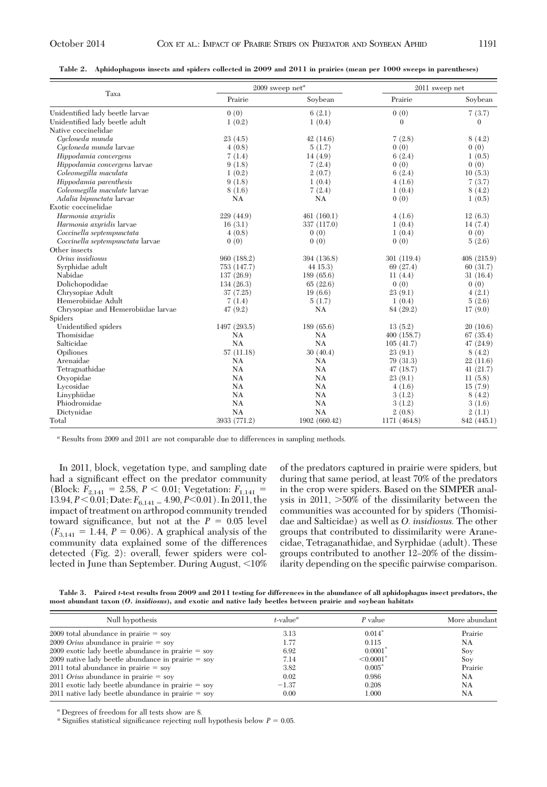|  |  |  |  |  |  | Table 2. Aphidophagous insects and spiders collected in 2009 and 2011 in prairies (mean per 1000 sweeps in parentheses) |
|--|--|--|--|--|--|-------------------------------------------------------------------------------------------------------------------------|
|--|--|--|--|--|--|-------------------------------------------------------------------------------------------------------------------------|

|                                    |              | $2009$ sweep net <sup>a</sup> | 2011 sweep net |              |
|------------------------------------|--------------|-------------------------------|----------------|--------------|
| Taxa                               | Prairie      | Soybean                       | Prairie        | Sovbean      |
| Unidentified lady beetle larvae    | 0(0)         | 6(2.1)                        | 0(0)           | 7(3.7)       |
| Unidentified lady beetle adult     | 1(0.2)       | 1(0.4)                        | $\mathbf{0}$   | $\mathbf{0}$ |
| Native coccinelidae                |              |                               |                |              |
| Cycloneda munda                    | 23(4.5)      | 42(14.6)                      | 7(2.8)         | 8(4.2)       |
| Cycloneda munda larvae             | 4(0.8)       | 5(1.7)                        | 0(0)           | 0(0)         |
| Hippodamia convergens              | 7(1.4)       | 14(4.9)                       | 6(2.4)         | 1(0.5)       |
| Hippodamia convergens larvae       | 9(1.8)       | 7(2.4)                        | 0(0)           | 0(0)         |
| Coleomegilla maculata              | 1(0.2)       | 2(0.7)                        | 6(2.4)         | 10(5.3)      |
| Hippodamia parenthesis             | 9(1.8)       | 1(0.4)                        | 4(1.6)         | 7(3.7)       |
| Coleomegilla maculate larvae       | 8(1.6)       | 7(2.4)                        | 1(0.4)         | 8(4.2)       |
| Adalia bipunctata larvae           | NA           | NA                            | 0(0)           | 1(0.5)       |
| Exotic coccinelidae                |              |                               |                |              |
| Harmonia axyridis                  | 229(44.9)    | 461(160.1)                    | 4(1.6)         | 12(6.3)      |
| Harmonia axyridis larvae           | 16(3.1)      | 337 (117.0)                   | 1(0.4)         | 14(7.4)      |
| Coccinella septempunctata          | 4(0.8)       | 0(0)                          | 1(0.4)         | 0(0)         |
| Coccinella septempunctata larvae   | 0(0)         | 0(0)                          | 0(0)           | 5(2.6)       |
| Other insects                      |              |                               |                |              |
| Orius insidiosus                   | 960 (188.2)  | 394 (136.8)                   | 301 (119.4)    | 408 (215.9)  |
| Syrphidae adult                    | 753 (147.7)  | 44 15.3)                      | 69 (27.4)      | 60(31.7)     |
| Nabidae                            | 137 (26.9)   | 189 (65.6)                    | 11(4.4)        | 31(16.4)     |
| Dolichopodidae                     | 134 (26.3)   | 65(22.6)                      | 0(0)           | 0(0)         |
| Chrysopiae Adult                   | 37 (7.25)    | 19(6.6)                       | 23(9.1)        | 4(2.1)       |
| Hemerobiidae Adult                 | 7(1.4)       | 5(1.7)                        | 1(0.4)         | 5(2.6)       |
| Chrysopiae and Hemerobiidae larvae | 47(9.2)      | NA                            | 84 (29.2)      | 17(9.0)      |
| Spiders                            |              |                               |                |              |
| Unidentified spiders               | 1497 (293.5) | 189(65.6)                     | 13(5.2)        | 20(10.6)     |
| Thomisidae                         | <b>NA</b>    | NA                            | 400(158.7)     | 67(35.4)     |
| Salticidae                         | <b>NA</b>    | NA                            | 105(41.7)      | 47(24.9)     |
| Opiliones                          | 57(11.18)    | 30(40.4)                      | 23(9.1)        | 8(4.2)       |
| Arenaidae                          | <b>NA</b>    | <b>NA</b>                     | 79 (31.3)      | 22(11.6)     |
| Tetragnathidae                     | <b>NA</b>    | <b>NA</b>                     | 47(18.7)       | 41(21.7)     |
| Oxyopidae                          | NA           | NA                            | 23(9.1)        | 11(5.8)      |
| Lycosidae                          | NA           | NA                            | 4(1.6)         | 15(7.9)      |
| Linyphiidae                        | <b>NA</b>    | <b>NA</b>                     | 3(1.2)         | 8(4.2)       |
| Phiodromidae                       | NA           | NA                            | 3(1.2)         | 3(1.6)       |
| Dictynidae                         | <b>NA</b>    | NA                            | 2(0.8)         | 2(1.1)       |
| Total                              | 3933 (771.2) | 1902 (660.42)                 | 1171 (464.8)   | 842 (445.1)  |

*<sup>a</sup>* Results from 2009 and 2011 are not comparable due to differences in sampling methods.

In 2011, block, vegetation type, and sampling date had a significant effect on the predator community (Block:  $F_{2,141} = 2.58, P < 0.01$ ; Vegetation:  $F_{1,141} =$ 13.94,  $P \le 0.01$ ; Date:  $F_{6,141} = 4.90, P \le 0.01$ ). In 2011, the impact of treatment on arthropod community trended toward significance, but not at the  $P = 0.05$  level  $(F_{3,141} = 1.44, P = 0.06)$ . A graphical analysis of the community data explained some of the differences detected (Fig. 2): overall, fewer spiders were collected in June than September. During August,  $\leq 10\%$ 

of the predators captured in prairie were spiders, but during that same period, at least 70% of the predators in the crop were spiders. Based on the SIMPER analysis in 2011, -50% of the dissimilarity between the communities was accounted for by spiders (Thomisidae and Salticidae) as well as *O. insidiosus.* The other groups that contributed to dissimilarity were Aranecidae, Tetraganathidae, and Syrphidae (adult). These groups contributed to another 12–20% of the dissimilarity depending on the specific pairwise comparison.

**Table 3. Paired** *t***-test results from 2009 and 2011 testing for differences in the abundance of all aphidophagus insect predators, the most abundant taxon (***O. insidiosus***), and exotic and native lady beetles between prairie and soybean habitats**

| Null hypothesis                                      | $t$ -value <sup><math>a</math></sup> | P value                    | More abundant |
|------------------------------------------------------|--------------------------------------|----------------------------|---------------|
| $2009$ total abundance in prairie = soy              | 3.13                                 | $0.014*$                   | Prairie       |
| $2009$ <i>Orius</i> abundance in prairie = sov       | 1.77                                 | 0.115                      | NA            |
| $2009$ exotic lady beetle abundance in prairie = sov | 6.92                                 | $0.0001*$                  | Soy           |
| $2009$ native lady beetle abundance in prairie = sov | 7.14                                 | $\leq 0.0001$ <sup>*</sup> | Sov           |
| $2011$ total abundance in prairie = soy              | 3.82                                 | $0.005*$                   | Prairie       |
| $2011$ <i>Orius</i> abundance in prairie = sov       | 0.02                                 | 0.986                      | NA            |
| $2011$ exotic lady beetle abundance in prairie = sov | $-1.37$                              | 0.208                      | NA            |
| $2011$ native lady beetle abundance in prairie = sov | 0.00                                 | 1.000                      | NA            |

*<sup>a</sup>* Degrees of freedom for all tests show are 8.

\* Signifies statistical significance rejecting null hypothesis below  $P = 0.05$ .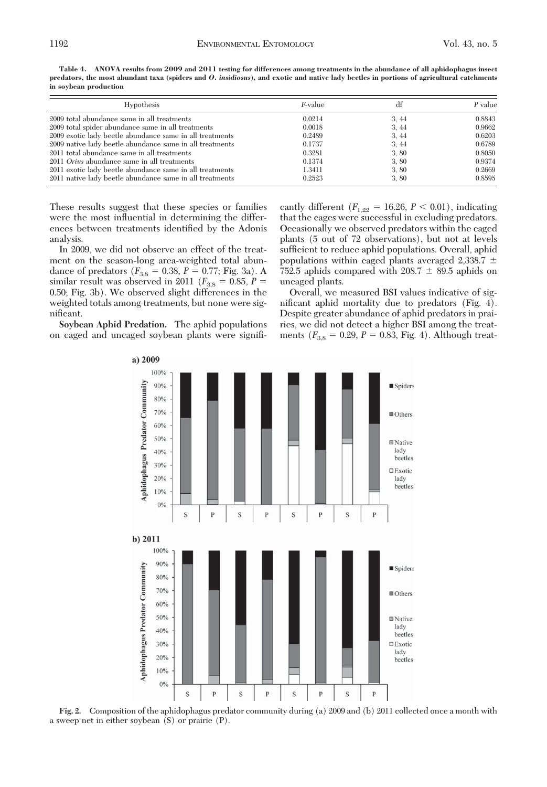| <i>F</i> -value | df   | $P$ value |
|-----------------|------|-----------|
| 0.0214          | 3.44 | 0.8843    |
| 0.0018          | 3,44 | 0.9662    |
| 0.2489          | 3,44 | 0.6203    |
| 0.1737          | 3.44 | 0.6789    |
| 0.3281          | 3.80 | 0.8050    |
| 0.1374          | 3,80 | 0.9374    |
| 1.3411          | 3,80 | 0.2669    |
| 0.2523          | 3.80 | 0.8595    |
|                 |      |           |

**Table 4. ANOVA results from 2009 and 2011 testing for differences among treatments in the abundance of all aphidophagus insect predators, the most abundant taxa (spiders and** *O. insidiosus***), and exotic and native lady beetles in portions of agricultural catchments in soybean production**

These results suggest that these species or families were the most influential in determining the differences between treatments identified by the Adonis analysis.

In 2009, we did not observe an effect of the treatment on the season-long area-weighted total abundance of predators ( $F_{3,8} = 0.38, P = 0.77$ ; Fig. 3a). A similar result was observed in 2011 ( $F_{3,8} = 0.85, P =$ 0.50; Fig. 3b). We observed slight differences in the weighted totals among treatments, but none were significant.

**Soybean Aphid Predation.** The aphid populations on caged and uncaged soybean plants were signiÞ-

cantly different  $(F_{1,22} = 16.26, P \le 0.01)$ , indicating that the cages were successful in excluding predators. Occasionally we observed predators within the caged plants (5 out of 72 observations), but not at levels sufficient to reduce aphid populations. Overall, aphid populations within caged plants averaged 2,338.7 752.5 aphids compared with  $208.7 \pm 89.5$  aphids on uncaged plants.

Overall, we measured BSI values indicative of significant aphid mortality due to predators (Fig. 4). Despite greater abundance of aphid predators in prairies, we did not detect a higher BSI among the treatments  $(F_{3,8} = 0.29, P = 0.83, Fig. 4)$ . Although treat-



**Fig. 2.** Composition of the aphidophagus predator community during (a) 2009 and (b) 2011 collected once a month with a sweep net in either soybean (S) or prairie (P).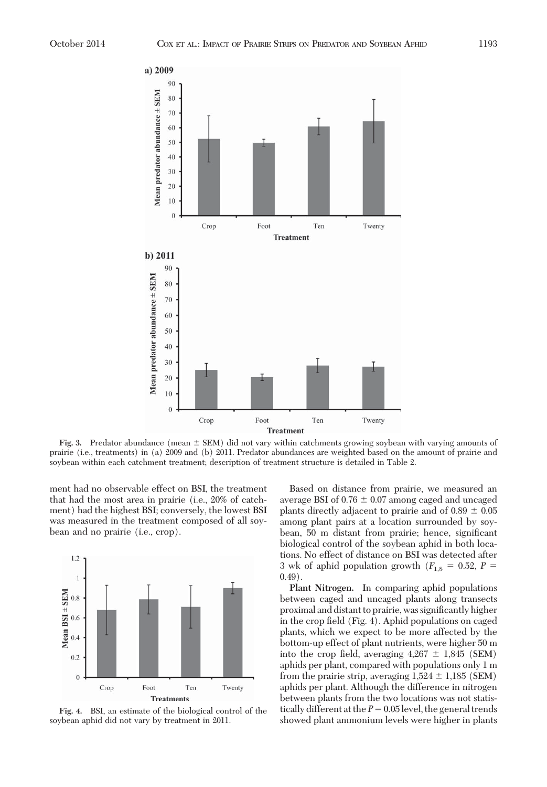

**Fig. 3.** Predator abundance (mean  $\pm$  SEM) did not vary within catchments growing soybean with varying amounts of prairie (i.e., treatments) in (a) 2009 and (b) 2011. Predator abundances are weighted based on the amount of prairie and soybean within each catchment treatment; description of treatment structure is detailed in Table 2.

ment had no observable effect on BSI, the treatment that had the most area in prairie (i.e., 20% of catchment) had the highest BSI; conversely, the lowest BSI was measured in the treatment composed of all soybean and no prairie (i.e., crop).



**Fig. 4.** BSI, an estimate of the biological control of the soybean aphid did not vary by treatment in 2011.

Based on distance from prairie, we measured an average BSI of 0.76  $\pm$  0.07 among caged and uncaged plants directly adjacent to prairie and of  $0.89 \pm 0.05$ among plant pairs at a location surrounded by soybean, 50 m distant from prairie; hence, significant biological control of the soybean aphid in both locations. No effect of distance on BSI was detected after 3 wk of aphid population growth  $(F_{1,8} = 0.52, P =$  $(0.49)$ 

**Plant Nitrogen.** In comparing aphid populations between caged and uncaged plants along transects proximal and distant to prairie, was significantly higher in the crop field  $(Fig. 4)$ . Aphid populations on caged plants, which we expect to be more affected by the bottom-up effect of plant nutrients, were higher 50 m into the crop field, averaging  $4,267 \pm 1,845$  (SEM) aphids per plant, compared with populations only 1 m from the prairie strip, averaging  $1,524 \pm 1,185$  (SEM) aphids per plant. Although the difference in nitrogen between plants from the two locations was not statistically different at the  $P = 0.05$  level, the general trends showed plant ammonium levels were higher in plants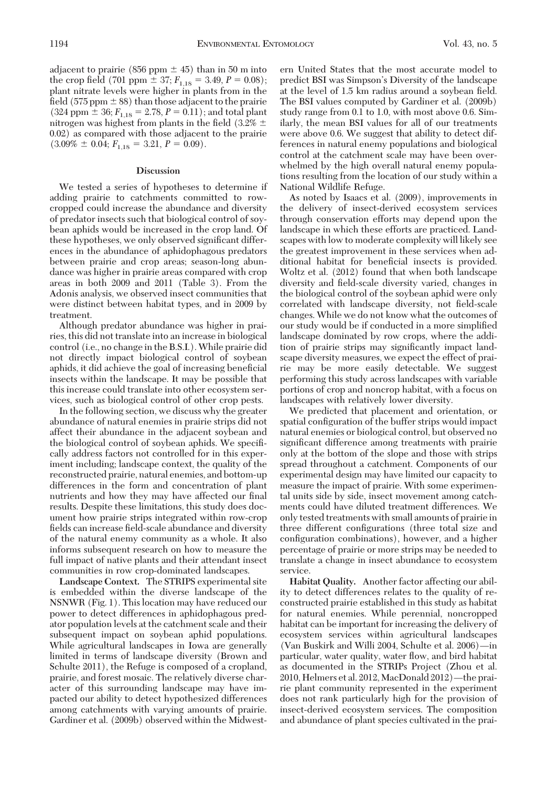adjacent to prairie (856 ppm  $\pm$  45) than in 50 m into the crop field (701 ppm  $\pm$  37;  $F_{1,18} = 3.49, P = 0.08$ ); plant nitrate levels were higher in plants from in the field (575 ppm  $\pm$  88) than those adjacent to the prairie  $(324$  ppm  $\pm$  36;  $F_{1,18} = 2.78$ ,  $P = 0.11$ ); and total plant nitrogen was highest from plants in the field (3.2%  $\pm$ 0.02) as compared with those adjacent to the prairie  $(3.09\% \pm 0.04; F_{1,18} = 3.21, P = 0.09).$ 

#### **Discussion**

We tested a series of hypotheses to determine if adding prairie to catchments committed to rowcropped could increase the abundance and diversity of predator insects such that biological control of soybean aphids would be increased in the crop land. Of these hypotheses, we only observed significant differences in the abundance of aphidophagous predators between prairie and crop areas; season-long abundance was higher in prairie areas compared with crop areas in both 2009 and 2011 (Table 3). From the Adonis analysis, we observed insect communities that were distinct between habitat types, and in 2009 by treatment.

Although predator abundance was higher in prairies, this did not translate into an increase in biological control (i.e., no change in the B.S.I.).While prairie did not directly impact biological control of soybean aphids, it did achieve the goal of increasing beneficial insects within the landscape. It may be possible that this increase could translate into other ecosystem services, such as biological control of other crop pests.

In the following section, we discuss why the greater abundance of natural enemies in prairie strips did not affect their abundance in the adjacent soybean and the biological control of soybean aphids. We specifically address factors not controlled for in this experiment including; landscape context, the quality of the reconstructed prairie, natural enemies, and bottom-up differences in the form and concentration of plant nutrients and how they may have affected our final results. Despite these limitations, this study does document how prairie strips integrated within row-crop fields can increase field-scale abundance and diversity of the natural enemy community as a whole. It also informs subsequent research on how to measure the full impact of native plants and their attendant insect communities in row crop-dominated landscapes.

**Landscape Context.** The STRIPS experimental site is embedded within the diverse landscape of the NSNWR (Fig. 1). This location may have reduced our power to detect differences in aphidophagous predator population levels at the catchment scale and their subsequent impact on soybean aphid populations. While agricultural landscapes in Iowa are generally limited in terms of landscape diversity (Brown and Schulte 2011), the Refuge is composed of a cropland, prairie, and forest mosaic. The relatively diverse character of this surrounding landscape may have impacted our ability to detect hypothesized differences among catchments with varying amounts of prairie. Gardiner et al. (2009b) observed within the Midwest-

ern United States that the most accurate model to predict BSI was Simpson's Diversity of the landscape at the level of 1.5 km radius around a soybean field. The BSI values computed by Gardiner et al. (2009b) study range from 0.1 to 1.0, with most above 0.6. Similarly, the mean BSI values for all of our treatments were above 0.6. We suggest that ability to detect differences in natural enemy populations and biological control at the catchment scale may have been overwhelmed by the high overall natural enemy populations resulting from the location of our study within a National Wildlife Refuge.

As noted by Isaacs et al. (2009), improvements in the delivery of insect-derived ecosystem services through conservation efforts may depend upon the landscape in which these efforts are practiced. Landscapes with low to moderate complexity will likely see the greatest improvement in these services when additional habitat for beneficial insects is provided. Woltz et al. (2012) found that when both landscape diversity and field-scale diversity varied, changes in the biological control of the soybean aphid were only correlated with landscape diversity, not field-scale changes. While we do not know what the outcomes of our study would be if conducted in a more simplified landscape dominated by row crops, where the addition of prairie strips may significantly impact landscape diversity measures, we expect the effect of prairie may be more easily detectable. We suggest performing this study across landscapes with variable portions of crop and noncrop habitat, with a focus on landscapes with relatively lower diversity.

We predicted that placement and orientation, or spatial configuration of the buffer strips would impact natural enemies or biological control, but observed no significant difference among treatments with prairie only at the bottom of the slope and those with strips spread throughout a catchment. Components of our experimental design may have limited our capacity to measure the impact of prairie. With some experimental units side by side, insect movement among catchments could have diluted treatment differences. We only tested treatments with small amounts of prairie in three different configurations (three total size and configuration combinations), however, and a higher percentage of prairie or more strips may be needed to translate a change in insect abundance to ecosystem service.

**Habitat Quality.** Another factor affecting our ability to detect differences relates to the quality of reconstructed prairie established in this study as habitat for natural enemies. While perennial, noncropped habitat can be important for increasing the delivery of ecosystem services within agricultural landscapes (Van Buskirk and Willi 2004, Schulte et al. 2006)—in particular, water quality, water ßow, and bird habitat as documented in the STRIPs Project (Zhou et al.  $2010$ , Helmers et al.  $2012$ , MacDonald  $2012$ ) —the prairie plant community represented in the experiment does not rank particularly high for the provision of insect-derived ecosystem services. The composition and abundance of plant species cultivated in the prai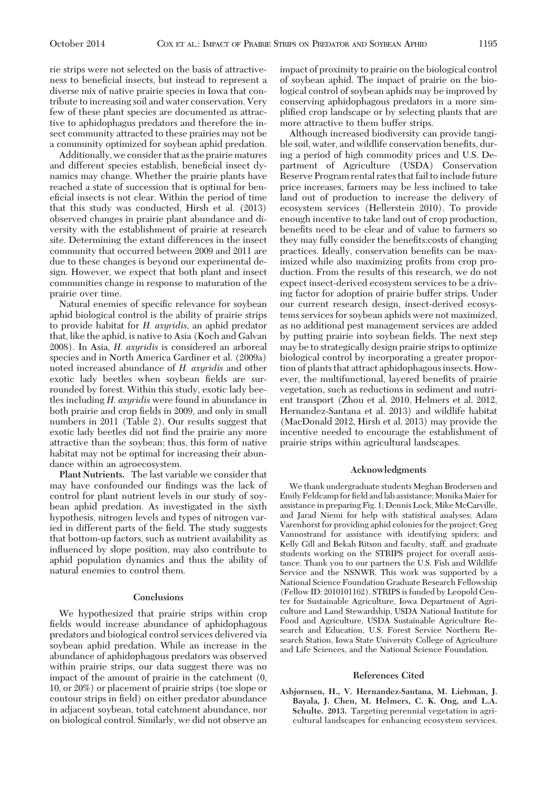rie strips were not selected on the basis of attractiveness to beneficial insects, but instead to represent a diverse mix of native prairie species in Iowa that contribute to increasing soil and water conservation. Very few of these plant species are documented as attractive to aphidophagus predators and therefore the insect community attracted to these prairies may not be a community optimized for soybean aphid predation.

Additionally, we consider that as the prairie matures and different species establish, beneficial insect dynamics may change. Whether the prairie plants have reached a state of succession that is optimal for beneficial insects is not clear. Within the period of time that this study was conducted, Hirsh et al. (2013) observed changes in prairie plant abundance and diversity with the establishment of prairie at research site. Determining the extant differences in the insect community that occurred between 2009 and 2011 are due to these changes is beyond our experimental design. However, we expect that both plant and insect communities change in response to maturation of the prairie over time.

Natural enemies of specific relevance for soybean aphid biological control is the ability of prairie strips to provide habitat for *H. axyridis,* an aphid predator that, like the aphid, is native to Asia (Koch and Galvan 2008). In Asia, *H. axyridis* is considered an arboreal species and in North America Gardiner et al. (2009a) noted increased abundance of *H. axyridis* and other exotic lady beetles when soybean fields are surrounded by forest. Within this study, exotic lady beetles including *H. axyridis* were found in abundance in both prairie and crop fields in 2009, and only in small numbers in 2011 (Table 2). Our results suggest that exotic lady beetles did not find the prairie any more attractive than the soybean; thus, this form of native habitat may not be optimal for increasing their abundance within an agroecosystem.

**Plant Nutrients.** The last variable we consider that may have confounded our findings was the lack of control for plant nutrient levels in our study of soybean aphid predation. As investigated in the sixth hypothesis, nitrogen levels and types of nitrogen varied in different parts of the field. The study suggests that bottom-up factors, such as nutrient availability as inßuenced by slope position, may also contribute to aphid population dynamics and thus the ability of natural enemies to control them.

#### **Conclusions**

We hypothesized that prairie strips within crop fields would increase abundance of aphidophagous predators and biological control services delivered via soybean aphid predation. While an increase in the abundance of aphidophagous predators was observed within prairie strips, our data suggest there was no impact of the amount of prairie in the catchment (0, 10, or 20%) or placement of prairie strips (toe slope or contour strips in field) on either predator abundance in adjacent soybean, total catchment abundance, nor on biological control. Similarly, we did not observe an impact of proximity to prairie on the biological control of soybean aphid. The impact of prairie on the biological control of soybean aphids may be improved by conserving aphidophagous predators in a more simplified crop landscape or by selecting plants that are more attractive to them buffer strips.

Although increased biodiversity can provide tangible soil, water, and wildlife conservation benefits, during a period of high commodity prices and U.S. Department of Agriculture (USDA) Conservation Reserve Program rental rates that fail to include future price increases, farmers may be less inclined to take land out of production to increase the delivery of ecosystem services (Hellerstein 2010). To provide enough incentive to take land out of crop production, benefits need to be clear and of value to farmers so they may fully consider the benefits: costs of changing practices. Ideally, conservation benefits can be maximized while also maximizing profits from crop production. From the results of this research, we do not expect insect-derived ecosystem services to be a driving factor for adoption of prairie buffer strips. Under our current research design, insect-derived ecosystems services for soybean aphids were not maximized, as no additional pest management services are added by putting prairie into soybean fields. The next step may be to strategically design prairie strips to optimize biological control by incorporating a greater proportion of plants that attract aphidophagous insects. However, the multifunctional, layered benefits of prairie vegetation, such as reductions in sediment and nutrient transport (Zhou et al. 2010, Helmers et al. 2012, Hernandez-Santana et al. 2013) and wildlife habitat (MacDonald 2012, Hirsh et al. 2013) may provide the incentive needed to encourage the establishment of prairie strips within agricultural landscapes.

#### **Acknowledgments**

We thank undergraduate students Meghan Brodersen and Emily Feldcamp for field and lab assistance; Monika Maier for assistance in preparing Fig. 1; Dennis Lock, Mike McCarville, and Jarad Niemi for help with statistical analyses; Adam Varenhorst for providing aphid colonies for the project; Greg Vannostrand for assistance with identifying spiders; and Kelly Gill and Bekah Ritson and faculty, staff, and graduate students working on the STRIPS project for overall assistance. Thank you to our partners the U.S. Fish and Wildlife Service and the NSNWR. This work was supported by a National Science Foundation Graduate Research Fellowship (Fellow ID: 2010101162). STRIPS is funded by Leopold Center for Sustainable Agriculture, Iowa Department of Agriculture and Land Stewardship, USDA National Institute for Food and Agriculture, USDA Sustainable Agriculture Research and Education, U.S. Forest Service Northern Research Station, Iowa State University College of Agriculture and Life Sciences, and the National Science Foundation.

#### **References Cited**

**Asbjornsen, H., V. Hernandez-Santana, M. Liebman, J. Bayala, J. Chen, M. Helmers, C. K. Ong, and L.A. Schulte. 2013.** Targeting perennial vegetation in agricultural landscapes for enhancing ecosystem services.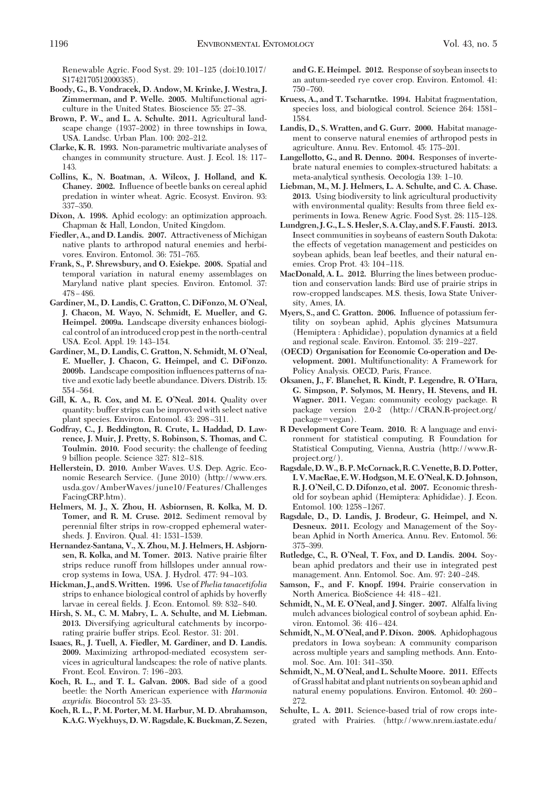Renewable Agric. Food Syst. 29: 101-125 (doi:10.1017/ S1742170512000385).

- **Boody, G., B. Vondracek, D. Andow, M. Krinke, J. Westra, J. Zimmerman, and P. Welle. 2005.** Multifunctional agriculture in the United States. Bioscience 55: 27-38.
- **Brown, P. W., and L. A. Schulte. 2011.** Agricultural landscape change  $(1937–2002)$  in three townships in Iowa, USA. Landsc. Urban Plan. 100: 202-212.
- **Clarke, K. R. 1993.** Non-parametric multivariate analyses of changes in community structure. Aust. J. Ecol. 18: 117– 143.
- **Collins, K., N. Boatman, A. Wilcox, J. Holland, and K. Chaney. 2002.** Inßuence of beetle banks on cereal aphid predation in winter wheat. Agric. Ecosyst. Environ. 93: 337–350.
- **Dixon, A. 1998.** Aphid ecology: an optimization approach. Chapman & Hall, London, United Kingdom.
- **Fiedler, A., and D. Landis. 2007.** Attractiveness of Michigan native plants to arthropod natural enemies and herbivores. Environ. Entomol. 36: 751-765.
- **Frank, S., P. Shrewsbury, and O. Esiekpe. 2008.** Spatial and temporal variation in natural enemy assemblages on Maryland native plant species. Environ. Entomol. 37:  $478 - 486.$
- **Gardiner, M., D. Landis, C. Gratton, C. DiFonzo, M. O'Neal, J. Chacon, M. Wayo, N. Schmidt, E. Mueller, and G. Heimpel. 2009a.** Landscape diversity enhances biological control of an introduced crop pest in the north-central USA. Ecol. Appl. 19: 143-154.
- **Gardiner, M., D. Landis, C. Gratton, N. Schmidt, M. O'Neal, E. Mueller, J. Chacon, G. Heimpel, and C. DiFonzo. 2009b.** Landscape composition inßuences patterns of native and exotic lady beetle abundance. Divers. Distrib. 15: 554-564.
- **Gill, K. A., R. Cox, and M. E. O'Neal. 2014.** Quality over quantity: buffer strips can be improved with select native plant species. Environ. Entomol. 43: 298-311.
- **Godfray, C., J. Beddington, R. Crute, L. Haddad, D. Lawrence, J. Muir, J. Pretty, S. Robinson, S. Thomas, and C. Toulmin. 2010.** Food security: the challenge of feeding 9 billion people. Science 327: 812–818.
- **Hellerstein, D. 2010.** Amber Waves. U.S. Dep. Agric. Economic Research Service. (June 2010) (http://www.ers. usda.gov/AmberWaves/june10/Features/Challenges FacingCRP.htm).
- **Helmers, M. J., X. Zhou, H. Asbiornsen, R. Kolka, M. D. Tomer, and R. M. Cruse. 2012.** Sediment removal by perennial filter strips in row-cropped ephemeral watersheds. J. Environ. Qual. 41: 1531-1539.
- **Hernandez-Santana, V., X. Zhou, M. J. Helmers, H. Asbjorn**sen, R. Kolka, and M. Tomer. 2013. Native prairie filter strips reduce runoff from hillslopes under annual rowcrop systems in Iowa, USA. J. Hydrol. 477: 94-103.
- **Hickman, J., and S.Written. 1996.** Use of *Phelia tanacetifolia* strips to enhance biological control of aphids by hoverfly larvae in cereal fields. J. Econ. Entomol. 89: 832–840.
- **Hirsh, S. M., C. M. Mabry, L. A. Schulte, and M. Liebman. 2013.** Diversifying agricultural catchments by incorporating prairie buffer strips. Ecol. Restor. 31: 201.
- **Isaacs, R., J. Tuell, A. Fiedler, M. Gardiner, and D. Landis. 2009.** Maximizing arthropod-mediated ecosystem services in agricultural landscapes: the role of native plants. Front. Ecol. Environ. 7: 196-203.
- **Koch, R. L., and T. L. Galvan. 2008.** Bad side of a good beetle: the North American experience with *Harmonia axyridis.* Biocontrol 53: 23-35.
- **Koch, R. L., P. M. Porter, M. M. Harbur, M. D. Abrahamson, K.A.G.Wyckhuys, D.W. Ragsdale, K. Buckman, Z. Sezen,**

**and G. E. Heimpel. 2012.** Response of soybean insects to an autum-seeded rye cover crop. Environ. Entomol. 41:  $750 - 760.$ 

- **Kruess, A., and T. Tscharntke. 1994.** Habitat fragmentation, species loss, and biological control. Science 264: 1581– 1584.
- **Landis, D., S. Wratten, and G. Gurr. 2000.** Habitat management to conserve natural enemies of arthropod pests in agriculture. Annu. Rev. Entomol. 45: 175-201.
- **Langellotto, G., and R. Denno. 2004.** Responses of invertebrate natural enemies to complex-structured habitats: a meta-analytical synthesis. Oecologia 139: 1-10.
- **Liebman, M., M. J. Helmers, L. A. Schulte, and C. A. Chase. 2013.** Using biodiversity to link agricultural productivity with environmental quality: Results from three field experiments in Iowa. Renew Agric. Food Syst. 28: 115-128.
- **Lundgren, J. G., L. S.Hesler, S.A. Clay, and S. F. Fausti. 2013.** Insect communities in soybeans of eastern South Dakota: the effects of vegetation management and pesticides on soybean aphids, bean leaf beetles, and their natural enemies. Crop Prot. 43: 104-118.
- **MacDonald, A. L. 2012.** Blurring the lines between production and conservation lands: Bird use of prairie strips in row-cropped landscapes. M.S. thesis, Iowa State University, Ames, IA.
- **Myers, S., and C. Gratton. 2006.** Inßuence of potassium fertility on soybean aphid, Aphis glycines Matsumura (Hemiptera: Aphididae), population dynamics at a field and regional scale. Environ. Entomol. 35: 219-227.
- **(OECD) Organisation for Economic Co-operation and Development. 2001.** Multifunctionality: A Framework for Policy Analysis. OECD, Paris, France.
- **Oksanen, J., F. Blanchet, R. Kindt, P. Legendre, R. O'Hara, G. Simpson, P. Solymos, M. Henry, H. Stevens, and H. Wagner. 2011.** Vegan: community ecology package. R package version 2.0-2 (http://CRAN.R-project.org/  $package = vegan$ ).
- **R Development Core Team. 2010.** R: A language and environment for statistical computing. R Foundation for Statistical Computing, Vienna, Austria (http://www.Rproject.org/).
- **Ragsdale,D.W., B. P.McCornack, R. C. Venette, B.D. Potter, I. V.MacRae, E.W.Hodgson,M. E. O'Neal, K.D. Johnson, R. J. O'Neil, C. D. Difonzo, et al. 2007.** Economic threshold for soybean aphid (Hemiptera: Aphididae). J. Econ. Entomol. 100: 1258-1267.
- **Ragsdale, D., D. Landis, J. Brodeur, G. Heimpel, and N. Desneux. 2011.** Ecology and Management of the Soybean Aphid in North America. Annu. Rev. Entomol. 56: 375-399.
- **Rutledge, C., R. O'Neal, T. Fox, and D. Landis. 2004.** Soybean aphid predators and their use in integrated pest management. Ann. Entomol. Soc. Am. 97: 240-248.
- **Samson, F., and F. Knopf. 1994.** Prairie conservation in North America. BioScience 44: 418-421.
- **Schmidt, N., M. E. O'Neal, and J. Singer. 2007.** Alfalfa living mulch advances biological control of soybean aphid. Environ. Entomol. 36: 416-424.
- **Schmidt, N., M. O'Neal, and P. Dixon. 2008.** Aphidophagous predators in Iowa soybean: A community comparison across multiple years and sampling methods. Ann. Entomol. Soc. Am. 101: 341-350.
- **Schmidt, N., M. O'Neal, and L. Schulte Moore. 2011.** Effects of Grassl habitat and plant nutrients on soybean aphid and natural enemy populations. Environ. Entomol. 40: 260 – 272.
- **Schulte, L. A. 2011.** Science-based trial of row crops integrated with Prairies. (http://www.nrem.iastate.edu/